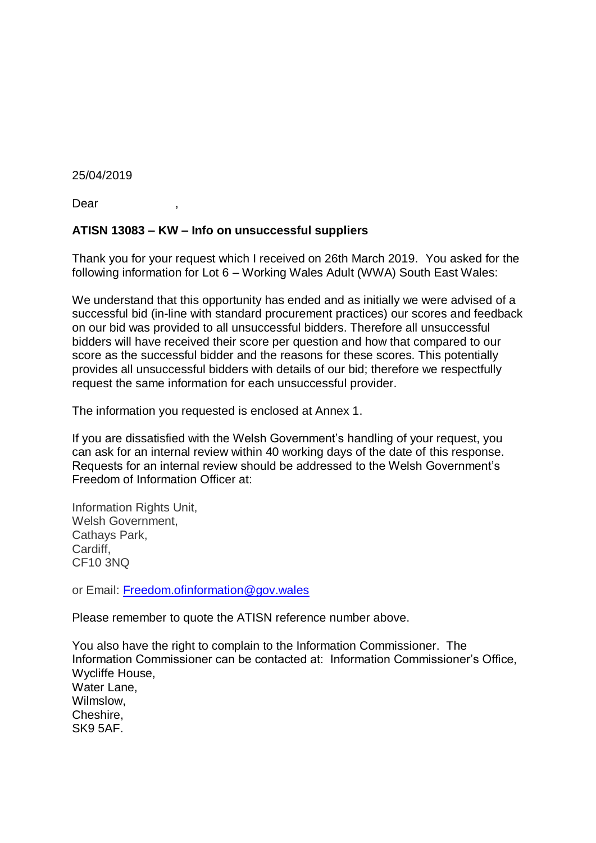## 25/04/2019

Dear ,

## **ATISN 13083 – KW – Info on unsuccessful suppliers**

Thank you for your request which I received on 26th March 2019. You asked for the following information for Lot 6 – Working Wales Adult (WWA) South East Wales:

We understand that this opportunity has ended and as initially we were advised of a successful bid (in-line with standard procurement practices) our scores and feedback on our bid was provided to all unsuccessful bidders. Therefore all unsuccessful bidders will have received their score per question and how that compared to our score as the successful bidder and the reasons for these scores. This potentially provides all unsuccessful bidders with details of our bid; therefore we respectfully request the same information for each unsuccessful provider.

The information you requested is enclosed at Annex 1.

If you are dissatisfied with the Welsh Government's handling of your request, you can ask for an internal review within 40 working days of the date of this response. Requests for an internal review should be addressed to the Welsh Government's Freedom of Information Officer at:

Information Rights Unit, Welsh Government, Cathays Park, Cardiff, CF10 3NQ

or Email: [Freedom.ofinformation@gov.wales](mailto:Freedom.ofinformation@gov.wales)

Please remember to quote the ATISN reference number above.

You also have the right to complain to the Information Commissioner. The Information Commissioner can be contacted at: Information Commissioner's Office, Wycliffe House, Water Lane, Wilmslow, Cheshire, SK9 5AF.